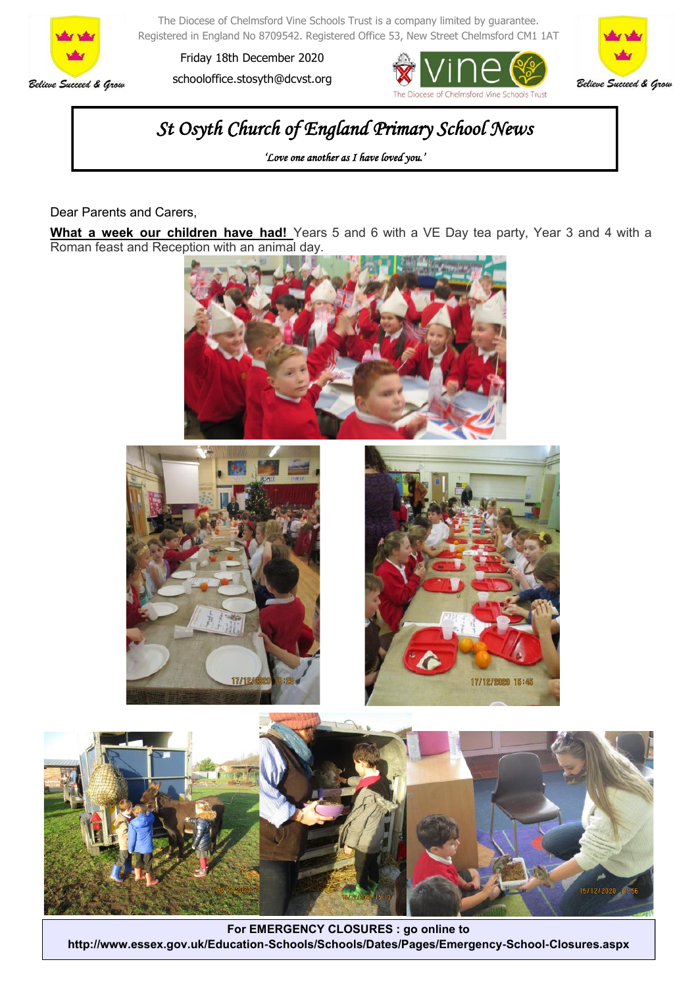

The Diocese of Chelmsford Vine Schools Trust is a company limited by guarantee. Registered in England No 8709542. Registered Office 53, New Street Chelmsford CM1 1AT

Friday 18th December 2020 schooloffice.stosyth@dcvst.org





# *St Osyth Church of England Primary School News*

*'Love one another as I have loved you.'* 

Dear Parents and Carers,

**What a week our children have had!** Years 5 and 6 with a VE Day tea party, Year 3 and 4 with a Roman feast and Reception with an animal day.









**For EMERGENCY CLOSURES : go online to http://www.essex.gov.uk/Education-Schools/Schools/Dates/Pages/Emergency-School-Closures.aspx**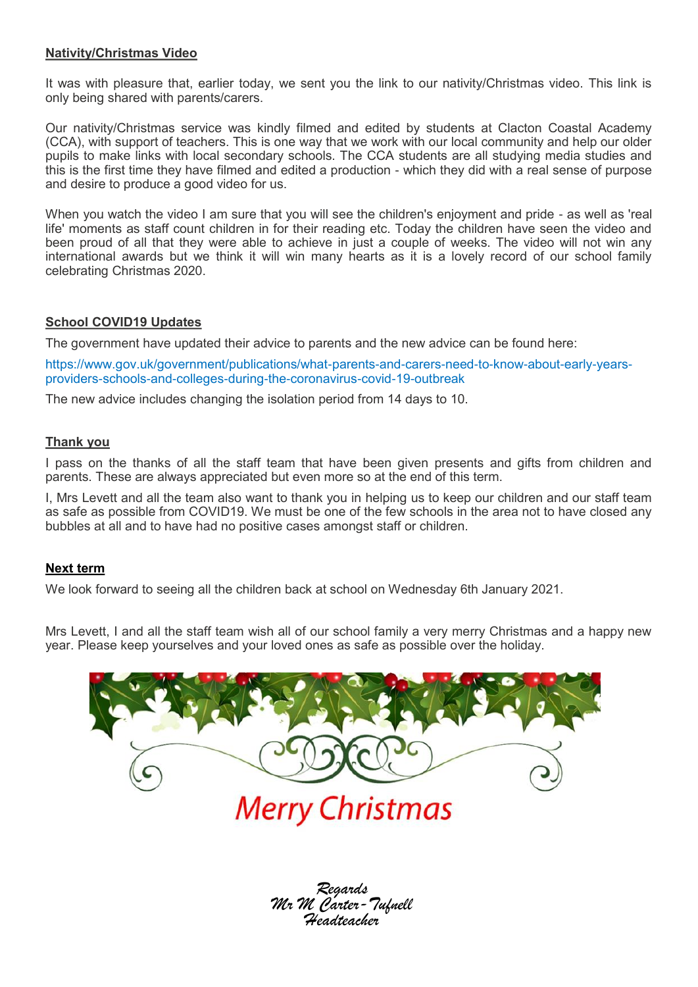### **Nativity/Christmas Video**

It was with pleasure that, earlier today, we sent you the link to our nativity/Christmas video. This link is only being shared with parents/carers.

Our nativity/Christmas service was kindly filmed and edited by students at Clacton Coastal Academy (CCA), with support of teachers. This is one way that we work with our local community and help our older pupils to make links with local secondary schools. The CCA students are all studying media studies and this is the first time they have filmed and edited a production - which they did with a real sense of purpose and desire to produce a good video for us.

When you watch the video I am sure that you will see the children's enjoyment and pride - as well as 'real life' moments as staff count children in for their reading etc. Today the children have seen the video and been proud of all that they were able to achieve in just a couple of weeks. The video will not win any international awards but we think it will win many hearts as it is a lovely record of our school family celebrating Christmas 2020.

### **School COVID19 Updates**

The government have updated their advice to parents and the new advice can be found here:

https://www.gov.uk/government/publications/what-parents-and-carers-need-to-know-about-early-yearsproviders-schools-and-colleges-during-the-coronavirus-covid-19-outbreak

The new advice includes changing the isolation period from 14 days to 10.

### **Thank you**

I pass on the thanks of all the staff team that have been given presents and gifts from children and parents. These are always appreciated but even more so at the end of this term.

I, Mrs Levett and all the team also want to thank you in helping us to keep our children and our staff team as safe as possible from COVID19. We must be one of the few schools in the area not to have closed any bubbles at all and to have had no positive cases amongst staff or children.

### **Next term**

We look forward to seeing all the children back at school on Wednesday 6th January 2021.

Mrs Levett, I and all the staff team wish all of our school family a very merry Christmas and a happy new year. Please keep yourselves and your loved ones as safe as possible over the holiday.



*Regards Mr M Carter-Tufnell Headteacher*